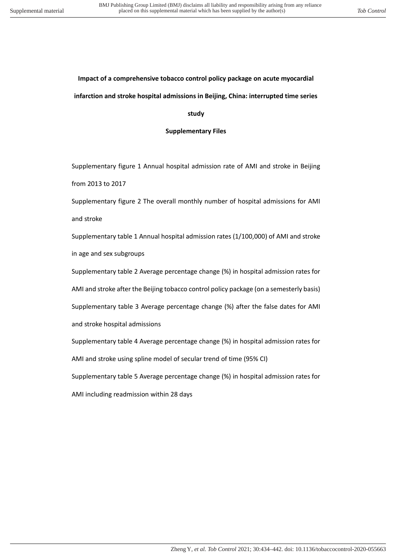### **Impact of a comprehensive tobacco control policy package on acute myocardial infarction and stroke hospital admissions in Beijing, China: interrupted time series**

#### **study**

#### **Supplementary Files**

Supplementary figure 1 Annual hospital admission rate of AMI and stroke in Beijing from 2013 to 2017

Supplementary figure 2 The overall monthly number of hospital admissions for AMI and stroke

Supplementary table 1 Annual hospital admission rates (1/100,000) of AMI and stroke in age and sex subgroups

Supplementary table 2 Average percentage change (%) in hospital admission rates for AMI and stroke after the Beijing tobacco control policy package (on a semesterly basis) Supplementary table 3 Average percentage change (%) after the false dates for AMI and stroke hospital admissions

Supplementary table 4 Average percentage change (%) in hospital admission rates for AMI and stroke using spline model of secular trend of time (95% CI)

Supplementary table 5 Average percentage change (%) in hospital admission rates for

AMI including readmission within 28 days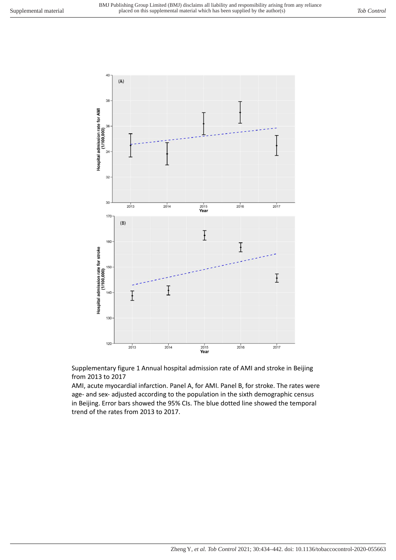

Supplementary figure 1 Annual hospital admission rate of AMI and stroke in Beijing from 2013 to 2017

AMI, acute myocardial infarction. Panel A, for AMI. Panel B, for stroke. The rates were age- and sex- adjusted according to the population in the sixth demographic census in Beijing. Error bars showed the 95% CIs. The blue dotted line showed the temporal trend of the rates from 2013 to 2017.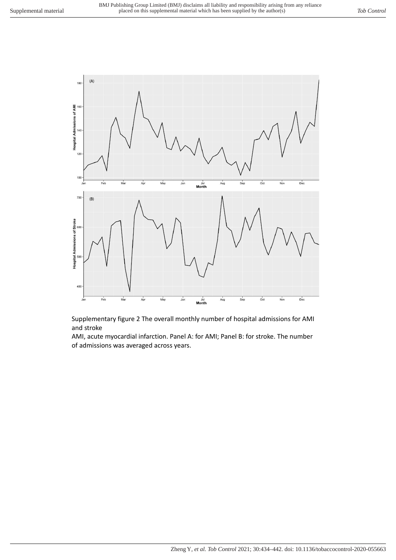

Supplementary figure 2 The overall monthly number of hospital admissions for AMI and stroke

AMI, acute myocardial infarction. Panel A: for AMI; Panel B: for stroke. The number of admissions was averaged across years.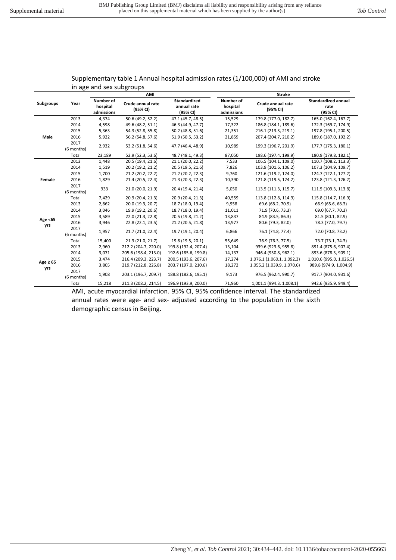| in age and sex subgroups |                    |                                            |                               |                                                |                                     |                               |                                                |
|--------------------------|--------------------|--------------------------------------------|-------------------------------|------------------------------------------------|-------------------------------------|-------------------------------|------------------------------------------------|
|                          | Year               | AMI                                        |                               |                                                | <b>Stroke</b>                       |                               |                                                |
| <b>Subgroups</b>         |                    | <b>Number of</b><br>hospital<br>admissions | Crude annual rate<br>(95% CI) | <b>Standardized</b><br>annual rate<br>(95% CI) | Number of<br>hospital<br>admissions | Crude annual rate<br>(95% CI) | <b>Standardized annual</b><br>rate<br>(95% CI) |
|                          | 2013               | 4,374                                      | 50.6 (49.2, 52.2)             | 47.1 (45.7, 48.5)                              | 15,529                              | 179.8 (177.0, 182.7)          | 165.0 (162.4, 167.7)                           |
|                          | 2014               | 4,598                                      | 49.6 (48.2, 51.1)             | 46.3 (44.9, 47.7)                              | 17,322                              | 186.8 (184.1, 189.6)          | 172.3 (169.7, 174.9)                           |
|                          | 2015               | 5,363                                      | 54.3 (52.8, 55.8)             | 50.2 (48.8, 51.6)                              | 21,351                              | 216.1 (213.3, 219.1)          | 197.8 (195.1, 200.5)                           |
| Male                     | 2016               | 5,922                                      | 56.2 (54.8, 57.6)             | 51.9 (50.5, 53.2)                              | 21,859                              | 207.4 (204.7, 210.2)          | 189.6 (187.0, 192.2)                           |
|                          | 2017<br>(6 months) | 2,932                                      | 53.2 (51.8, 54.6)             | 47.7 (46.4, 48.9)                              | 10,989                              | 199.3 (196.7, 201.9)          | 177.7 (175.3, 180.1)                           |
|                          | Total              | 23,189                                     | 52.9 (52.3, 53.6)             | 48.7 (48.1, 49.3)                              | 87,050                              | 198.6 (197.4, 199.9)          | 180.9 (179.8, 182.1)                           |
|                          | 2013               | 1,448                                      | 20.5 (19.4, 21.6)             | 21.1 (20.0, 22.2)                              | 7,533                               | 106.5 (104.1, 109.0)          | 110.7 (108.2, 113.3)                           |
|                          | 2014               | 1,519                                      | 20.2 (19.2, 21.2)             | 20.5 (19.5, 21.6)                              | 7,826                               | 103.9 (101.6, 106.2)          | 107.3 (104.9, 109.7)                           |
|                          | 2015               | 1,700                                      | 21.2 (20.2, 22.2)             | 21.2 (20.2, 22.3)                              | 9,760                               | 121.6 (119.2, 124.0)          | 124.7 (122.1, 127.2)                           |
| Female                   | 2016               | 1,829                                      | 21.4 (20.5, 22.4)             | 21.3 (20.3, 22.3)                              | 10,390                              | 121.8 (119.5, 124.2)          | 123.8 (121.3, 126.2)                           |
|                          | 2017<br>(6 months) | 933                                        | 21.0 (20.0, 21.9)             | 20.4 (19.4, 21.4)                              | 5,050                               | 113.5 (111.3, 115.7)          | 111.5 (109.3, 113.8)                           |
|                          | Total              | 7,429                                      | 20.9 (20.4, 21.3)             | 20.9 (20.4, 21.3)                              | 40,559                              | 113.8 (112.8, 114.9)          | 115.8 (114.7, 116.9)                           |
|                          | 2013               | 2,862                                      | 20.0 (19.3, 20.7)             | 18.7 (18.0, 19.4)                              | 9,958                               | 69.6 (68.2, 70.9)             | 66.9 (65.6, 68.3)                              |
|                          | 2014               | 3,046                                      | 19.9 (19.2, 20.6)             | 18.7 (18.0, 19.4)                              | 11,011                              | 71.9 (70.6, 73.3)             | 69.0 (67.7, 70.3)                              |
| Age <65                  | 2015               | 3,589                                      | 22.0 (21.3, 22.8)             | 20.5 (19.8, 21.2)                              | 13,837                              | 84.9 (83.5, 86.3)             | 81.5 (80.1, 82.9)                              |
|                          | 2016               | 3,946                                      | 22.8 (22.1, 23.5)             | 21.2 (20.5, 21.8)                              | 13,977                              | 80.6 (79.3, 82.0)             | 78.3 (77.0, 79.7)                              |
| yrs                      | 2017<br>(6 months) | 1,957                                      | 21.7 (21.0, 22.4)             | 19.7 (19.1, 20.4)                              | 6,866                               | 76.1 (74.8, 77.4)             | 72.0 (70.8, 73.2)                              |
|                          | Total              | 15,400                                     | 21.3 (21.0, 21.7)             | 19.8 (19.5, 20.1)                              | 55,649                              | 76.9 (76.3, 77.5)             | 73.7 (73.1, 74.3)                              |
|                          | 2013               | 2,960                                      | 212.2 (204.7, 220.0)          | 199.8 (192.4, 207.4)                           | 13,104                              | 939.6 (923.6, 955.8)          | 891.4 (875.6, 907.4)                           |
|                          | 2014               | 3,071                                      | 205.6 (198.4, 213.0)          | 192.6 (185.6, 199.8)                           | 14,137                              | 946.4 (930.8, 962.1)          | 893.6 (878.3, 909.1)                           |
|                          | 2015               | 3,474                                      | 216.4 (209.3, 223.7)          | 200.5 (193.6, 207.6)                           | 17,274                              | 1,076.1 (1,060.1, 1,092.3)    | 1,010.6 (995.0, 1,026.5)                       |
| Age $\geq 65$<br>yrs     | 2016               | 3,805                                      | 219.7 (212.8, 226.8)          | 203.7 (197.0, 210.6)                           | 18,272                              | 1,055.2 (1,039.9, 1,070.6)    | 989.8 (974.9, 1,004.9)                         |
|                          | 2017<br>(6 months) | 1,908                                      | 203.1 (196.7, 209.7)          | 188.8 (182.6, 195.1)                           | 9,173                               | 976.5 (962.4, 990.7)          | 917.7 (904.0, 931.6)                           |
|                          | Total              | 15,218                                     | 211.3 (208.2, 214.5)          | 196.9 (193.9, 200.0)                           | 71,960                              | 1,001.1 (994.3, 1,008.1)      | 942.6 (935.9, 949.4)                           |

### Supplementary table 1 Annual hospital admission rates (1/100,000) of AMI and stroke in age and sex subgroups

AMI, acute myocardial infarction. 95% CI, 95% confidence interval. The standardized annual rates were age- and sex- adjusted according to the population in the sixth demographic census in Beijing.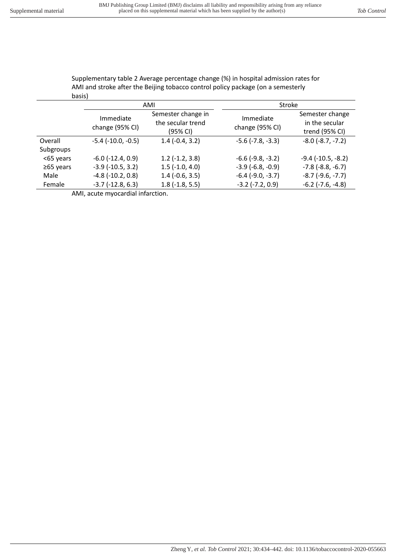|                 | AMI and stroke after the Beijing tobacco control policy package (on a semesterly |                                                     |                              |                                                     |  |  |
|-----------------|----------------------------------------------------------------------------------|-----------------------------------------------------|------------------------------|-----------------------------------------------------|--|--|
| basis)          |                                                                                  |                                                     |                              |                                                     |  |  |
|                 |                                                                                  | AMI                                                 | <b>Stroke</b>                |                                                     |  |  |
|                 | Immediate<br>change (95% CI)                                                     | Semester change in<br>the secular trend<br>(95% CI) | Immediate<br>change (95% CI) | Semester change<br>in the secular<br>trend (95% CI) |  |  |
| Overall         | $-5.4$ ( $-10.0, -0.5$ )                                                         | $1.4(-0.4, 3.2)$                                    | $-5.6$ $(-7.8, -3.3)$        | $-8.0$ $(-8.7, -7.2)$                               |  |  |
| Subgroups       |                                                                                  |                                                     |                              |                                                     |  |  |
| <65 years       | $-6.0$ $(-12.4, 0.9)$                                                            | $1.2$ (-1.2, 3.8)                                   | $-6.6$ ( $-9.8$ , $-3.2$ )   | $-9.4$ ( $-10.5$ , $-8.2$ )                         |  |  |
| $\geq 65$ years | $-3.9$ $(-10.5, 3.2)$                                                            | $1.5$ ( $-1.0$ , $4.0$ )                            | $-3.9$ ( $-6.8$ , $-0.9$ )   | $-7.8$ ( $-8.8$ , $-6.7$ )                          |  |  |
| Male            | $-4.8$ ( $-10.2$ , $0.8$ )                                                       | $1.4$ ( $-0.6$ , $3.5$ )                            | $-6.4$ $(-9.0, -3.7)$        | $-8.7$ $(-9.6, -7.7)$                               |  |  |

Female  $-3.7$  (-12.8, 6.3)  $1.8$  (-1.8, 5.5)  $-3.2$  (-7.2, 0.9)  $-6.2$  (-7.6, -4.8)

AMI, acute myocardial infarction.

Supplementary table 2 Average percentage change (%) in hospital admission rates for AMI and stroke after the Beijing tobacco control policy package (on a semesterly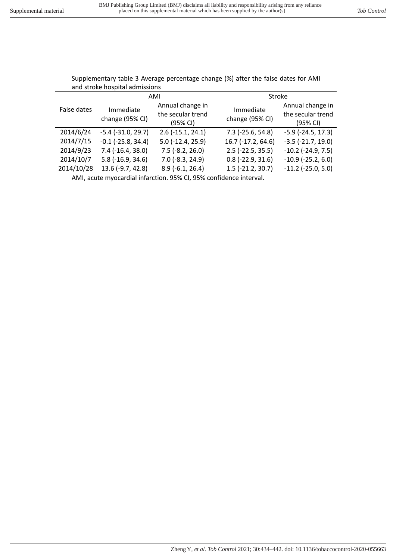| and stroke hospital admissions |                              |                                                   |                              |                                                   |  |
|--------------------------------|------------------------------|---------------------------------------------------|------------------------------|---------------------------------------------------|--|
| False dates                    |                              | AMI                                               | Stroke                       |                                                   |  |
|                                | Immediate<br>change (95% CI) | Annual change in<br>the secular trend<br>(95% CI) | Immediate<br>change (95% CI) | Annual change in<br>the secular trend<br>(95% CI) |  |
| 2014/6/24                      | $-5.4$ ( $-31.0$ , 29.7)     | $2.6$ ( $-15.1$ , $24.1$ )                        | $7.3$ (-25.6, 54.8)          | $-5.9$ ( $-24.5$ , 17.3)                          |  |
| 2014/7/15                      | $-0.1$ ( $-25.8$ , 34.4)     | $5.0$ ( $-12.4$ , $25.9$ )                        | 16.7 (-17.2, 64.6)           | $-3.5$ $(-21.7, 19.0)$                            |  |
| 2014/9/23                      | $7.4$ ( $-16.4$ , 38.0)      | $7.5$ (-8.2, 26.0)                                | $2.5$ (-22.5, 35.5)          | $-10.2$ ( $-24.9$ , 7.5)                          |  |
| 2014/10/7                      | $5.8$ ( $-16.9$ , $34.6$ )   | $7.0$ (-8.3, 24.9)                                | $0.8$ (-22.9, 31.6)          | $-10.9$ ( $-25.2$ , 6.0)                          |  |
| 2014/10/28                     | 13.6 (-9.7, 42.8)            | $8.9(-6.1, 26.4)$                                 | $1.5$ (-21.2, 30.7)          | $-11.2$ ( $-25.0$ , $5.0$ )                       |  |

# Supplementary table 3 Average percentage change (%) after the false dates for AMI

AMI, acute myocardial infarction. 95% CI, 95% confidence interval.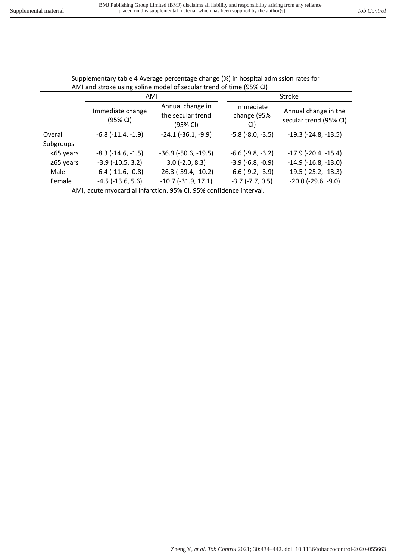| AMI and stroke using spline model of secular trend of time (95% CI) |                              |                                                   |                                 |                                                |  |
|---------------------------------------------------------------------|------------------------------|---------------------------------------------------|---------------------------------|------------------------------------------------|--|
|                                                                     | AMI                          |                                                   | Stroke                          |                                                |  |
|                                                                     | Immediate change<br>(95% CI) | Annual change in<br>the secular trend<br>(95% CI) | Immediate<br>change (95%<br>CI) | Annual change in the<br>secular trend (95% CI) |  |
| Overall                                                             | $-6.8$ $(-11.4, -1.9)$       | $-24.1$ $(-36.1, -9.9)$                           | $-5.8$ $(-8.0, -3.5)$           | $-19.3$ $(-24.8, -13.5)$                       |  |
| Subgroups                                                           |                              |                                                   |                                 |                                                |  |
| <65 years                                                           | $-8.3$ $(-14.6, -1.5)$       | $-36.9$ ( $-50.6$ , $-19.5$ )                     | $-6.6$ ( $-9.8$ , $-3.2$ )      | $-17.9$ ( $-20.4$ , $-15.4$ )                  |  |
| $\geq 65$ years                                                     | $-3.9$ ( $-10.5$ , $3.2$ )   | $3.0$ (-2.0, 8.3)                                 | $-3.9$ ( $-6.8$ , $-0.9$ )      | $-14.9$ ( $-16.8$ , $-13.0$ )                  |  |
| Male                                                                | $-6.4$ $(-11.6, -0.8)$       | $-26.3$ ( $-39.4$ , $-10.2$ )                     | $-6.6$ $(-9.2, -3.9)$           | $-19.5$ ( $-25.2$ , $-13.3$ )                  |  |
| Female                                                              | $-4.5$ ( $-13.6$ , $5.6$ )   | $-10.7$ $(-31.9, 17.1)$                           | $-3.7$ $(-7.7, 0.5)$            | $-20.0$ ( $-29.6$ , $-9.0$ )                   |  |

Supplementary table 4 Average percentage change (%) in hospital admission rates for

AMI, acute myocardial infarction. 95% CI, 95% confidence interval.